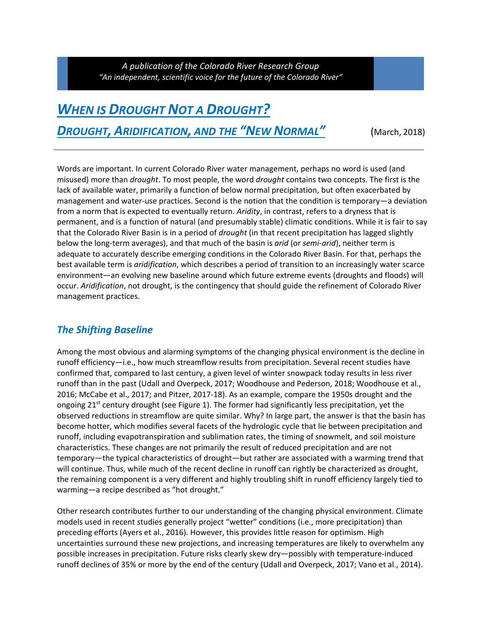*A publication of the Colorado River Research Group "An independent, scientific voice for the future of the Colorado River"*

## *WHEN IS DROUGHT NOT A DROUGHT? DROUGHT, ARIDIFICATION, AND THE "NEW NORMAL"* (March, 2018)

Words are important. In current Colorado River water management, perhaps no word is used (and misused) more than *drought*. To most people, the word *drought* contains two concepts. The first is the lack of available water, primarily a function of below normal precipitation, but often exacerbated by management and water‐use practices. Second is the notion that the condition is temporary—a deviation from a norm that is expected to eventually return. *Aridity*, in contrast, refers to a dryness that is permanent, and is a function of natural (and presumably stable) climatic conditions. While it is fair to say that the Colorado River Basin is in a period of *drought* (in that recent precipitation has lagged slightly below the long‐term averages), and that much of the basin is *arid* (or *semi‐arid*), neither term is adequate to accurately describe emerging conditions in the Colorado River Basin. For that, perhaps the best available term is *aridification*, which describes a period of transition to an increasingly water scarce environment—an evolving new baseline around which future extreme events (droughts and floods) will occur. *Aridification*, not drought, is the contingency that should guide the refinement of Colorado River management practices.

## *The Shifting Baseline*

Among the most obvious and alarming symptoms of the changing physical environment is the decline in runoff efficiency—i.e., how much streamflow results from precipitation. Several recent studies have confirmed that, compared to last century, a given level of winter snowpack today results in less river runoff than in the past (Udall and Overpeck, 2017; Woodhouse and Pederson, 2018; Woodhouse et al., 2016; McCabe et al., 2017; and Pitzer, 2017‐18). As an example, compare the 1950s drought and the ongoing 21<sup>st</sup> century drought (see Figure 1). The former had significantly less precipitation, yet the observed reductions in streamflow are quite similar. Why? In large part, the answer is that the basin has become hotter, which modifies several facets of the hydrologic cycle that lie between precipitation and runoff, including evapotranspiration and sublimation rates, the timing of snowmelt, and soil moisture characteristics. These changes are not primarily the result of reduced precipitation and are not temporary—the typical characteristics of drought—but rather are associated with a warming trend that will continue. Thus, while much of the recent decline in runoff can rightly be characterized as drought, the remaining component is a very different and highly troubling shift in runoff efficiency largely tied to warming—a recipe described as "hot drought."

Other research contributes further to our understanding of the changing physical environment. Climate models used in recent studies generally project "wetter" conditions (i.e., more precipitation) than preceding efforts (Ayers et al., 2016). However, this provides little reason for optimism. High uncertainties surround these new projections, and increasing temperatures are likely to overwhelm any possible increases in precipitation. Future risks clearly skew dry—possibly with temperature‐induced runoff declines of 35% or more by the end of the century (Udall and Overpeck, 2017; Vano et al., 2014).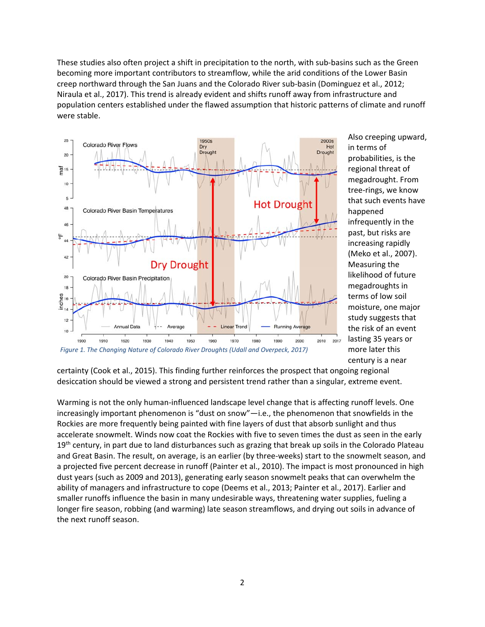These studies also often project a shift in precipitation to the north, with sub‐basins such as the Green becoming more important contributors to streamflow, while the arid conditions of the Lower Basin creep northward through the San Juans and the Colorado River sub‐basin (Dominguez et al., 2012; Niraula et al., 2017). This trend is already evident and shifts runoff away from infrastructure and population centers established under the flawed assumption that historic patterns of climate and runoff were stable.



Also creeping upward, in terms of probabilities, is the regional threat of megadrought. From tree‐rings, we know that such events have happened infrequently in the past, but risks are increasing rapidly (Meko et al., 2007). Measuring the likelihood of future megadroughts in terms of low soil moisture, one major study suggests that the risk of an event lasting 35 years or more later this century is a near

certainty (Cook et al., 2015). This finding further reinforces the prospect that ongoing regional desiccation should be viewed a strong and persistent trend rather than a singular, extreme event.

Warming is not the only human-influenced landscape level change that is affecting runoff levels. One increasingly important phenomenon is "dust on snow"—i.e., the phenomenon that snowfields in the Rockies are more frequently being painted with fine layers of dust that absorb sunlight and thus accelerate snowmelt. Winds now coat the Rockies with five to seven times the dust as seen in the early 19<sup>th</sup> century, in part due to land disturbances such as grazing that break up soils in the Colorado Plateau and Great Basin. The result, on average, is an earlier (by three‐weeks) start to the snowmelt season, and a projected five percent decrease in runoff (Painter et al., 2010). The impact is most pronounced in high dust years (such as 2009 and 2013), generating early season snowmelt peaks that can overwhelm the ability of managers and infrastructure to cope (Deems et al., 2013; Painter et al., 2017). Earlier and smaller runoffs influence the basin in many undesirable ways, threatening water supplies, fueling a longer fire season, robbing (and warming) late season streamflows, and drying out soils in advance of the next runoff season.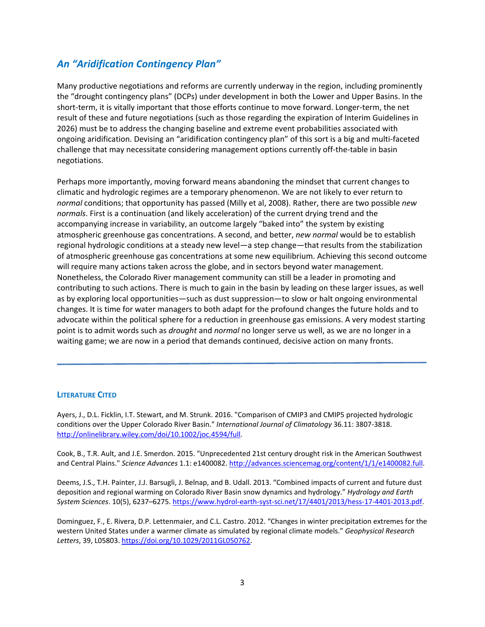## *An "Aridification Contingency Plan"*

Many productive negotiations and reforms are currently underway in the region, including prominently the "drought contingency plans" (DCPs) under development in both the Lower and Upper Basins. In the short-term, it is vitally important that those efforts continue to move forward. Longer-term, the net result of these and future negotiations (such as those regarding the expiration of Interim Guidelines in 2026) must be to address the changing baseline and extreme event probabilities associated with ongoing aridification. Devising an "aridification contingency plan" of this sort is a big and multi‐faceted challenge that may necessitate considering management options currently off-the-table in basin negotiations.

Perhaps more importantly, moving forward means abandoning the mindset that current changes to climatic and hydrologic regimes are a temporary phenomenon. We are not likely to ever return to *normal* conditions; that opportunity has passed (Milly et al, 2008). Rather, there are two possible *new normals*. First is a continuation (and likely acceleration) of the current drying trend and the accompanying increase in variability, an outcome largely "baked into" the system by existing atmospheric greenhouse gas concentrations. A second, and better, *new normal* would be to establish regional hydrologic conditions at a steady new level—a step change—that results from the stabilization of atmospheric greenhouse gas concentrations at some new equilibrium. Achieving this second outcome will require many actions taken across the globe, and in sectors beyond water management. Nonetheless, the Colorado River management community can still be a leader in promoting and contributing to such actions. There is much to gain in the basin by leading on these larger issues, as well as by exploring local opportunities—such as dust suppression—to slow or halt ongoing environmental changes. It is time for water managers to both adapt for the profound changes the future holds and to advocate within the political sphere for a reduction in greenhouse gas emissions. A very modest starting point is to admit words such as *drought* and *normal* no longer serve us well, as we are no longer in a waiting game; we are now in a period that demands continued, decisive action on many fronts.

## **LITERATURE CITED**

Ayers, J., D.L. Ficklin, I.T. Stewart, and M. Strunk. 2016. "Comparison of CMIP3 and CMIP5 projected hydrologic conditions over the Upper Colorado River Basin." *International Journal of Climatology* 36.11: 3807‐3818. http://onlinelibrary.wiley.com/doi/10.1002/joc.4594/full.

Cook, B., T.R. Ault, and J.E. Smerdon. 2015. "Unprecedented 21st century drought risk in the American Southwest and Central Plains." *Science Advances* 1.1: e1400082. http://advances.sciencemag.org/content/1/1/e1400082.full.

Deems, J.S., T.H. Painter, J.J. Barsugli, J. Belnap, and B. Udall. 2013. "Combined impacts of current and future dust deposition and regional warming on Colorado River Basin snow dynamics and hydrology." *Hydrology and Earth System Sciences*. 10(5), 6237–6275. https://www.hydrol‐earth‐syst‐sci.net/17/4401/2013/hess‐17‐4401‐2013.pdf.

Dominguez, F., E. Rivera, D.P. Lettenmaier, and C.L. Castro. 2012. "Changes in winter precipitation extremes for the western United States under a warmer climate as simulated by regional climate models." *Geophysical Research Letters*, 39, L05803. https://doi.org/10.1029/2011GL050762.